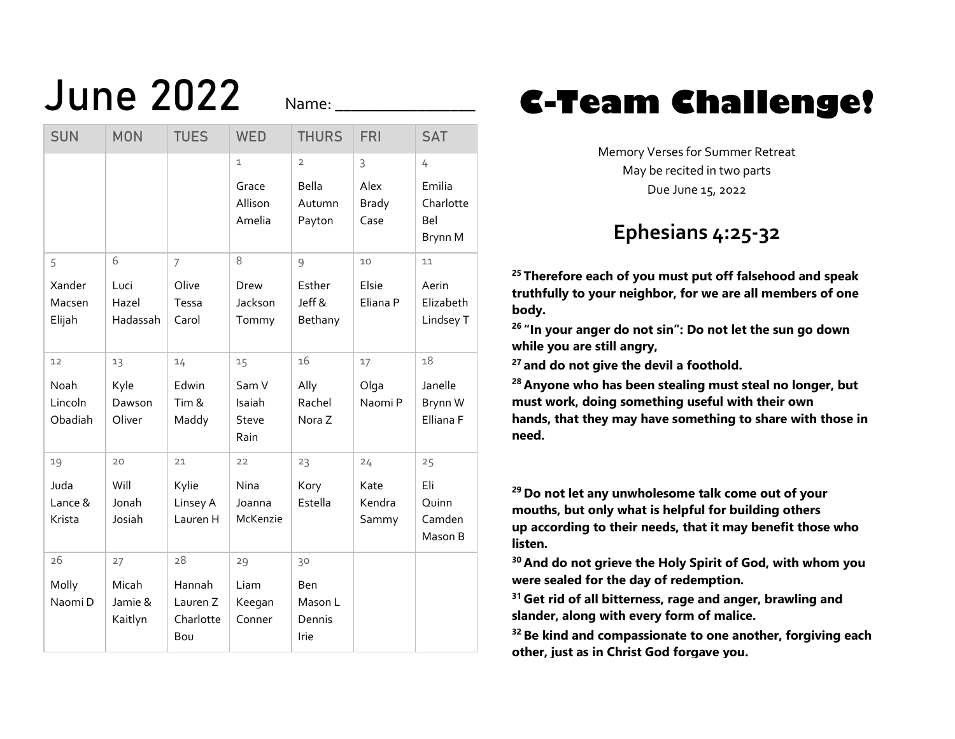Name:

| <b>SUN</b>                       | <b>MON</b>                        | <b>TUES</b>                                  | <b>WED</b>                                 | <b>THURS</b>                                       | <b>FRI</b>                        | <b>SAT</b>                                 |
|----------------------------------|-----------------------------------|----------------------------------------------|--------------------------------------------|----------------------------------------------------|-----------------------------------|--------------------------------------------|
|                                  |                                   |                                              | $\mathbf{1}$<br>Grace<br>Allison<br>Amelia | $\overline{2}$<br><b>Bella</b><br>Autumn<br>Payton | 3<br>Alex<br><b>Brady</b><br>Case | 4<br>Emilia<br>Charlotte<br>Bel<br>Brynn M |
| 5<br>Xander<br>Macsen<br>Elijah  | 6<br>Luci<br>Hazel<br>Hadassah    | $\overline{7}$<br>Olive<br>Tessa<br>Carol    | 8<br>Drew<br>Jackson<br>Tommy              | 9<br>Esther<br>Jeff &<br>Bethany                   | 10<br>Elsie<br>Eliana P           | 11<br>Aerin<br>Elizabeth<br>Lindsey T      |
| 12<br>Noah<br>Lincoln<br>Obadiah | 13<br>Kyle<br>Dawson<br>Oliver    | 14<br>Edwin<br>Tim &<br>Maddy                | 15<br>Sam V<br>Isaiah<br>Steve<br>Rain     | 16<br>Ally<br>Rachel<br>Nora Z                     | 17<br>Olga<br>Naomi P             | 18<br>Janelle<br>Brynn W<br>Elliana F      |
| 19<br>Juda<br>Lance &<br>Krista  | 20<br>Will<br>Jonah<br>Josiah     | 21<br>Kylie<br>Linsey A<br>Lauren H          | 22<br>Nina<br>Joanna<br>McKenzie           | 23<br>Kory<br>Estella                              | 24<br>Kate<br>Kendra<br>Sammy     | 25<br>Eli<br>Quinn<br>Camden<br>Mason B    |
| 26<br>Molly<br>Naomi D           | 27<br>Micah<br>Jamie &<br>Kaitlyn | 28<br>Hannah<br>Lauren Z<br>Charlotte<br>Bou | 29<br>Liam<br>Keegan<br>Conner             | 30<br><b>Ben</b><br>Mason L<br>Dennis<br>Irie      |                                   |                                            |

## June 2022 **Name:** <u>C-Team Challenge</u>!

Memory Verses for Summer Retreat May be recited in two parts Due June 15, 2022

## **Ephesians 4:25-32**

**<sup>25</sup> Therefore each of you must put off falsehood and speak truthfully to your neighbor, for we are all members of one body.**

**<sup>26</sup> "In your anger do not sin": Do not let the sun go down while you are still angry,**

**<sup>27</sup> and do not give the devil a foothold.**

**<sup>28</sup> Anyone who has been stealing must steal no longer, but must work, doing something useful with their own hands, that they may have something to share with those in need.**

**<sup>29</sup> Do not let any unwholesome talk come out of your mouths, but only what is helpful for building others up according to their needs, that it may benefit those who listen.**

**<sup>30</sup> And do not grieve the Holy Spirit of God, with whom you were sealed for the day of redemption.**

**<sup>31</sup> Get rid of all bitterness, rage and anger, brawling and slander, along with every form of malice.**

**<sup>32</sup> Be kind and compassionate to one another, forgiving each other, just as in Christ God forgave you.**